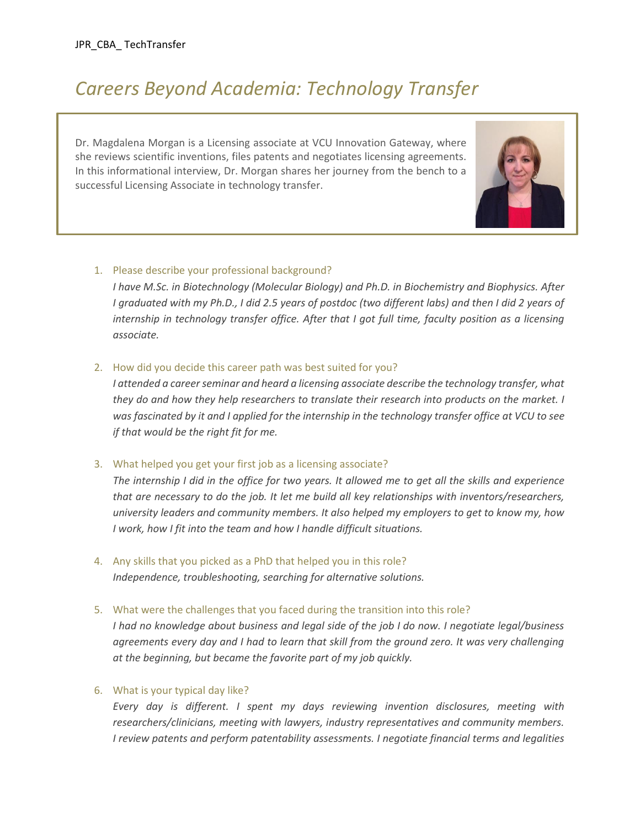# *Careers Beyond Academia: Technology Transfer*

Dr. Magdalena Morgan is a Licensing associate at VCU Innovation Gateway, where she reviews scientific inventions, files patents and negotiates licensing agreements. In this informational interview, Dr. Morgan shares her journey from the bench to a successful Licensing Associate in technology transfer.



*I have M.Sc. in Biotechnology (Molecular Biology) and Ph.D. in Biochemistry and Biophysics. After I graduated with my Ph.D., I did 2.5 years of postdoc (two different labs) and then I did 2 years of internship in technology transfer office. After that I got full time, faculty position as a licensing associate.* 

#### 2. How did you decide this career path was best suited for you?

*I attended a career seminar and heard a licensing associate describe the technology transfer, what they do and how they help researchers to translate their research into products on the market. I was fascinated by it and I applied for the internship in the technology transfer office at VCU to see if that would be the right fit for me.* 

#### 3. What helped you get your first job as a licensing associate?

*The internship I did in the office for two years. It allowed me to get all the skills and experience that are necessary to do the job. It let me build all key relationships with inventors/researchers, university leaders and community members. It also helped my employers to get to know my, how I work, how I fit into the team and how I handle difficult situations.*

4. Any skills that you picked as a PhD that helped you in this role? *Independence, troubleshooting, searching for alternative solutions.*

## 5. What were the challenges that you faced during the transition into this role?

*I had no knowledge about business and legal side of the job I do now. I negotiate legal/business*  agreements every day and I had to learn that skill from the ground zero. It was very challenging *at the beginning, but became the favorite part of my job quickly.* 

## 6. What is your typical day like?

*Every day is different. I spent my days reviewing invention disclosures, meeting with researchers/clinicians, meeting with lawyers, industry representatives and community members. I review patents and perform patentability assessments. I negotiate financial terms and legalities*